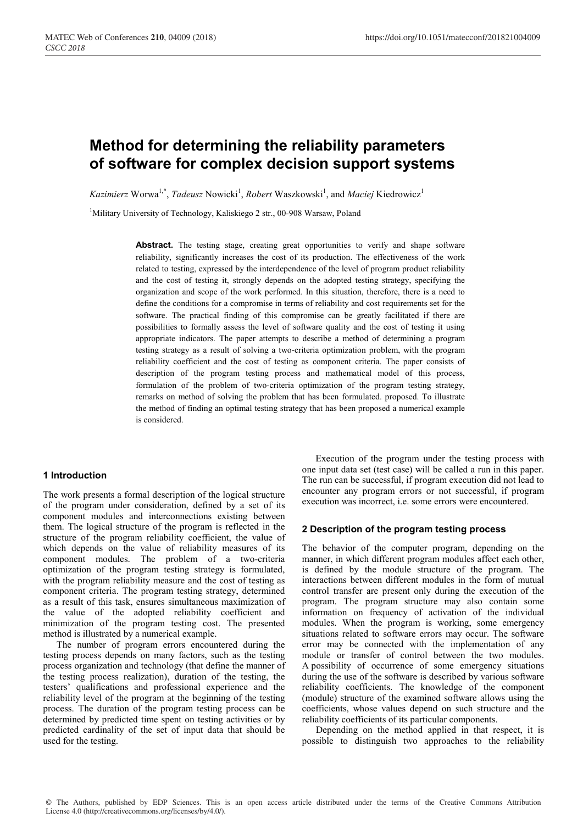# **Method for determining the reliability parameters of software for complex decision support systems**

Kazimierz Worwa<sup>1,\*</sup>, *Tadeusz* Nowicki<sup>1</sup>, *Robert* Waszkowski<sup>1</sup>, and *Maciej* Kiedrowicz<sup>1</sup>

<sup>1</sup>Military University of Technology, Kaliskiego 2 str., 00-908 Warsaw, Poland

Abstract. The testing stage, creating great opportunities to verify and shape software reliability, significantly increases the cost of its production. The effectiveness of the work related to testing, expressed by the interdependence of the level of program product reliability and the cost of testing it, strongly depends on the adopted testing strategy, specifying the organization and scope of the work performed. In this situation, therefore, there is a need to define the conditions for a compromise in terms of reliability and cost requirements set for the software. The practical finding of this compromise can be greatly facilitated if there are possibilities to formally assess the level of software quality and the cost of testing it using appropriate indicators. The paper attempts to describe a method of determining a program testing strategy as a result of solving a two-criteria optimization problem, with the program reliability coefficient and the cost of testing as component criteria. The paper consists of description of the program testing process and mathematical model of this process, formulation of the problem of two-criteria optimization of the program testing strategy, remarks on method of solving the problem that has been formulated. proposed. To illustrate the method of finding an optimal testing strategy that has been proposed a numerical example is considered.

# **1 Introduction**

The work presents a formal description of the logical structure of the program under consideration, defined by a set of its component modules and interconnections existing between them. The logical structure of the program is reflected in the structure of the program reliability coefficient, the value of which depends on the value of reliability measures of its component modules. The problem of a two-criteria optimization of the program testing strategy is formulated, with the program reliability measure and the cost of testing as component criteria. The program testing strategy, determined as a result of this task, ensures simultaneous maximization of the value of the adopted reliability coefficient and minimization of the program testing cost. The presented method is illustrated by a numerical example.

The number of program errors encountered during the testing process depends on many factors, such as the testing process organization and technology (that define the manner of the testing process realization), duration of the testing, the testers' qualifications and professional experience and the reliability level of the program at the beginning of the testing process. The duration of the program testing process can be determined by predicted time spent on testing activities or by predicted cardinality of the set of input data that should be used for the testing.

Execution of the program under the testing process with one input data set (test case) will be called a run in this paper. The run can be successful, if program execution did not lead to encounter any program errors or not successful, if program execution was incorrect, i.e. some errors were encountered.

## **2 Description of the program testing process**

The behavior of the computer program, depending on the manner, in which different program modules affect each other, is defined by the module structure of the program. The interactions between different modules in the form of mutual control transfer are present only during the execution of the program. The program structure may also contain some information on frequency of activation of the individual modules. When the program is working, some emergency situations related to software errors may occur. The software error may be connected with the implementation of any module or transfer of control between the two modules. A possibility of occurrence of some emergency situations during the use of the software is described by various software reliability coefficients. The knowledge of the component (module) structure of the examined software allows using the coefficients, whose values depend on such structure and the reliability coefficients of its particular components.

Depending on the method applied in that respect, it is possible to distinguish two approaches to the reliability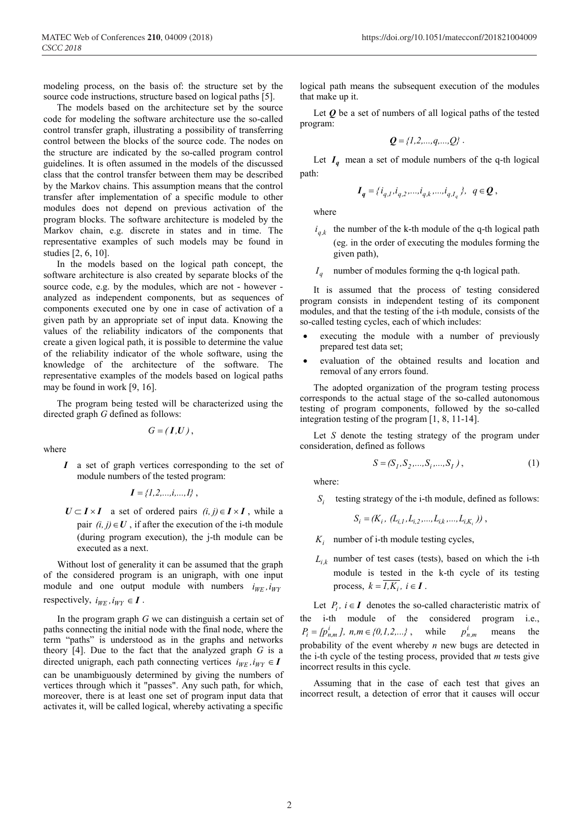modeling process, on the basis of: the structure set by the source code instructions, structure based on logical paths [5].

The models based on the architecture set by the source code for modeling the software architecture use the so-called control transfer graph, illustrating a possibility of transferring control between the blocks of the source code. The nodes on the structure are indicated by the so-called program control guidelines. It is often assumed in the models of the discussed class that the control transfer between them may be described by the Markov chains. This assumption means that the control transfer after implementation of a specific module to other modules does not depend on previous activation of the program blocks. The software architecture is modeled by the Markov chain, e.g. discrete in states and in time. The representative examples of such models may be found in studies [2, 6, 10].

In the models based on the logical path concept, the software architecture is also created by separate blocks of the source code, e.g. by the modules, which are not - however analyzed as independent components, but as sequences of components executed one by one in case of activation of a given path by an appropriate set of input data. Knowing the values of the reliability indicators of the components that create a given logical path, it is possible to determine the value of the reliability indicator of the whole software, using the knowledge of the architecture of the software. The representative examples of the models based on logical paths may be found in work [9, 16].

The program being tested will be characterized using the directed graph *G* defined as follows:

 $G = (I, U)$ ,

where

*I* a set of graph vertices corresponding to the set of module numbers of the tested program:

$$
I = \{1, 2, \ldots, i, \ldots, I\},\,
$$

 $U \subset I \times I$  a set of ordered pairs  $(i, j) \in I \times I$ , while a pair  $(i, j) \in U$ , if after the execution of the i-th module (during program execution), the j-th module can be executed as a next.

Without lost of generality it can be assumed that the graph of the considered program is an unigraph, with one input module and one output module with numbers  $i_{WE}$ ,  $i_{WY}$ respectively,  $i_{WE}$ ,  $i_{WY} \in I$ .

In the program graph *G* we can distinguish a certain set of paths connecting the initial node with the final node, where the term "paths" is understood as in the graphs and networks theory [4]. Due to the fact that the analyzed graph *G* is a directed unigraph, each path connecting vertices  $i_{WE}$ ,  $i_{WY} \in I$ can be unambiguously determined by giving the numbers of vertices through which it "passes". Any such path, for which, moreover, there is at least one set of program input data that activates it, will be called logical, whereby activating a specific logical path means the subsequent execution of the modules that make up it.

Let  $\boldsymbol{Q}$  be a set of numbers of all logical paths of the tested program:

$$
Q = \{1, 2, \ldots, q, \ldots, Q\}
$$
.

Let  $I_q$  mean a set of module numbers of the q-th logical path:

$$
I_q = \{i_{q,l}, i_{q,2}, \dots, i_{q,k}, \dots, i_{q,I_q}\}, \ q \in \mathbf{Q},
$$

where

- $i_{a,k}$  the number of the k-th module of the q-th logical path (eg. in the order of executing the modules forming the given path),
- $I_a$  number of modules forming the q-th logical path.

It is assumed that the process of testing considered program consists in independent testing of its component modules, and that the testing of the i-th module, consists of the so-called testing cycles, each of which includes:

- executing the module with a number of previously prepared test data set;
- evaluation of the obtained results and location and removal of any errors found.

The adopted organization of the program testing process corresponds to the actual stage of the so-called autonomous testing of program components, followed by the so-called integration testing of the program [1, 8, 11-14].

Let *S* denote the testing strategy of the program under consideration, defined as follows

$$
S = (S_1, S_2, \dots, S_i, \dots, S_I),
$$
 (1)

where:

*S<sub>i</sub>* testing strategy of the i-th module, defined as follows:

$$
S_i = (K_i, (L_{i,1}, L_{i,2},..., L_{i,k},..., L_{i,K_i})),
$$

- $K_i$  number of i-th module testing cycles,
- $L_{i,k}$  number of test cases (tests), based on which the i-th module is tested in the k-th cycle of its testing process,  $k = \overline{I_1K_i}$ ,  $i \in I$ .

Let  $P_i$ ,  $i \in I$  denotes the so-called characteristic matrix of the i-th module of the considered program i.e.,  $P_i = [p_{n,m}^i], n, m \in \{0, 1, 2, ...\}$ , while  $p_{n,m}^i$  means the probability of the event whereby *n* new bugs are detected in the i-th cycle of the testing process, provided that *m* tests give incorrect results in this cycle.

Assuming that in the case of each test that gives an incorrect result, a detection of error that it causes will occur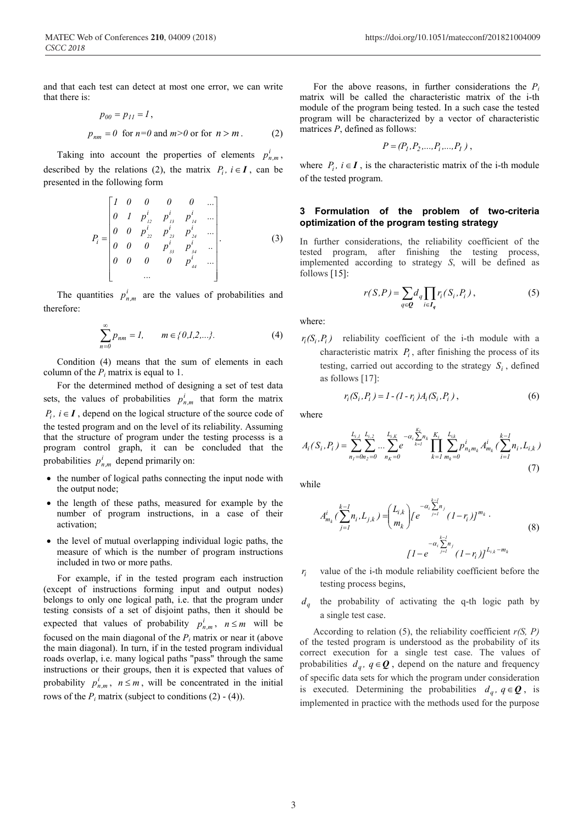and that each test can detect at most one error, we can write that there is:

$$
p_{00} = p_{II} = 1,
$$
  
\n
$$
p_{nm} = 0 \text{ for } n = 0 \text{ and } m > 0 \text{ or for } n > m.
$$
 (2)

Taking into account the properties of elements  $p_{n,m}^i$ , described by the relations (2), the matrix  $P_i$ ,  $i \in I$ , can be presented in the following form

$$
P_{i} = \begin{bmatrix} 1 & 0 & 0 & 0 & 0 & \dots \\ 0 & 1 & p_{i_{2}}^{i} & p_{i_{3}}^{i} & p_{i_{4}}^{i} & \dots \\ 0 & 0 & p_{i_{2}}^{i} & p_{i_{3}}^{i} & p_{i_{4}}^{i} & \dots \\ 0 & 0 & 0 & p_{i_{3}}^{i} & p_{i_{4}}^{i} & \dots \\ 0 & 0 & 0 & 0 & p_{i_{4}}^{i} & \dots \\ \vdots & \vdots & \vdots & \ddots & \vdots & \vdots \end{bmatrix} . \tag{3}
$$

The quantities  $p_{nm}^i$  are the values of probabilities and therefore:

$$
\sum_{n=0}^{\infty} p_{nm} = 1, \qquad m \in \{0, 1, 2, \ldots\}.
$$
 (4)

Condition (4) means that the sum of elements in each column of the  $P_i$  matrix is equal to 1.

For the determined method of designing a set of test data sets, the values of probabilities  $p_{n,m}^i$  that form the matrix  $P_i$ ,  $i \in I$ , depend on the logical structure of the source code of the tested program and on the level of its reliability. Assuming that the structure of program under the testing processs is a program control graph, it can be concluded that the probabilities  $p_{n,m}^i$  depend primarily on:

- the number of logical paths connecting the input node with the output node;
- the length of these paths, measured for example by the number of program instructions, in a case of their activation;
- the level of mutual overlapping individual logic paths, the measure of which is the number of program instructions included in two or more paths.

For example, if in the tested program each instruction (except of instructions forming input and output nodes) belongs to only one logical path, i.e. that the program under testing consists of a set of disjoint paths, then it should be expected that values of probability  $p_{n,m}^i$ ,  $n \le m$  will be focused on the main diagonal of the  $P_i$  matrix or near it (above the main diagonal). In turn, if in the tested program individual roads overlap, i.e. many logical paths "pass" through the same instructions or their groups, then it is expected that values of probability  $p_{n,m}^i$ ,  $n \leq m$ , will be concentrated in the initial rows of the  $P_i$  matrix (subject to conditions  $(2) - (4)$ ).

For the above reasons, in further considerations the  $P_i$ matrix will be called the characteristic matrix of the i-th module of the program being tested. In a such case the tested program will be characterized by a vector of characteristic matrices *P*, defined as follows:

$$
P = (P_1, P_2, \ldots, P_i, \ldots, P_I) \; ,
$$

where  $P_i$ ,  $i \in I$ , is the characteristic matrix of the i-th module of the tested program.

## **3 Formulation of the problem of two-criteria optimization of the program testing strategy**

In further considerations, the reliability coefficient of the tested program, after finishing the testing process, implemented according to strategy *S*, will be defined as follows [15]:

$$
r(S,P) = \sum_{q \in \mathbf{Q}} d_q \prod_{i \in I_q} r_i(S_i, P_i) , \qquad (5)
$$

where:

 $r_i(S_i, P_i)$  reliability coefficient of the i-th module with a characteristic matrix  $P_i$ , after finishing the process of its testing, carried out according to the strategy  $S_i$ , defined as follows [17]:

$$
r_i(S_i, P_i) = 1 - (1 - r_i)A_i(S_i, P_i),
$$
\n(6)

where

$$
A_i(S_i, P_i) = \sum_{n_1=0}^{L_{i,l}} \sum_{n_2=0}^{L_{i,k}} \dots \sum_{n_k=0}^{L_{i,k}} e^{-\alpha_i \sum_{k=1}^{K_i} n_k} \prod_{k=1}^{K_i} \sum_{m_k=0}^{L_{ik}} p_{n_k m_k}^i A_{m_k}^i(\sum_{i=1}^{k-1} n_i, L_{i,k})
$$
(7)

while

$$
A_{m_k}^i \left( \sum_{j=1}^{k-1} n_i, L_{j,k} \right) = \left( \begin{array}{c} L_{i,k} \\ m_k \end{array} \right) \left( e^{-\alpha_i \sum_{j=1}^{k-1} n_j} (1 - r_i) \right)^{m_k}.
$$
\n
$$
I - e^{-\alpha_i \sum_{j=1}^{k-1} n_j} (1 - r_i) I^{L_{i,k} - m_k}
$$
\n(8)

 $r_i$  value of the *i*-th module reliability coefficient before the testing process begins,

*dq* the probability of activating the q-th logic path by a single test case.

According to relation (5), the reliability coefficient *r(S, P)* of the tested program is understood as the probability of its correct execution for a single test case. The values of probabilities  $d_q$ ,  $q \in \mathbf{Q}$ , depend on the nature and frequency of specific data sets for which the program under consideration is executed. Determining the probabilities  $d_q$ ,  $q \in \mathbf{Q}$ , is implemented in practice with the methods used for the purpose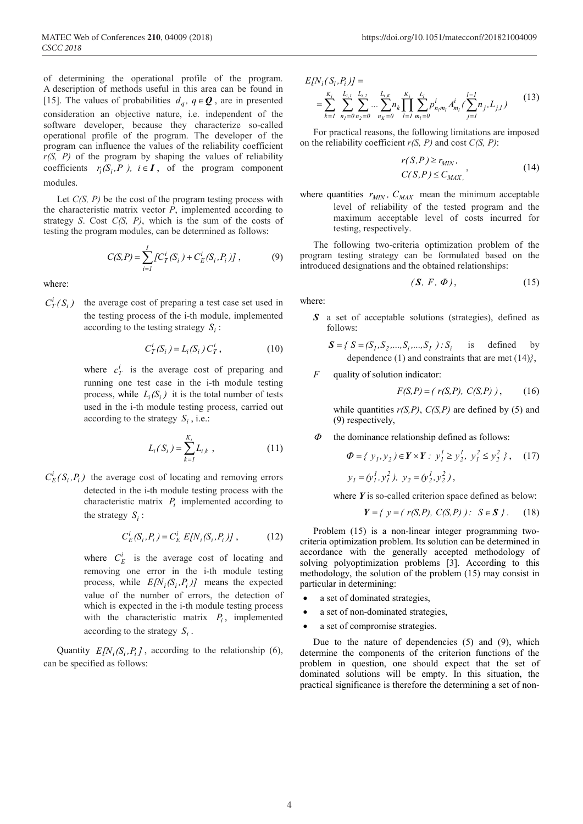of determining the operational profile of the program. A description of methods useful in this area can be found in [15]. The values of probabilities  $d_q$ ,  $q \in \mathbf{Q}$ , are in presented consideration an objective nature, i.e. independent of the software developer, because they characterize so-called operational profile of the program. The developer of the program can influence the values of the reliability coefficient *r(S, P)* of the program by shaping the values of reliability coefficients  $r_i(S_i, P)$ ,  $i \in I$ , of the program component

# modules.

Let *C(S, P)* be the cost of the program testing process with the characteristic matrix vector *P*, implemented according to strategy *S*. Cost *C(S, P)*, which is the sum of the costs of testing the program modules, can be determined as follows:

$$
C(S, P) = \sum_{i=1}^{I} \{ C_T^i(S_i) + C_E^i(S_i, P_i) \},
$$
 (9)

where:

 $C_T^i(S_i)$ the average cost of preparing a test case set used in the testing process of the i-th module, implemented according to the testing strategy  $S_i$ :

$$
C_T^i(S_i) = L_i(S_i) C_T^i, \t\t(10)
$$

where  $c_T^i$  is the average cost of preparing and running one test case in the i-th module testing process, while  $L_i(S_i)$  it is the total number of tests used in the i-th module testing process, carried out according to the strategy  $S_i$ , i.e.:

$$
L_i(S_i) = \sum_{k=1}^{K_i} L_{i,k} \t{11}
$$

 $C_E^i(S_i, P_i)$  the average cost of locating and removing errors detected in the i-th module testing process with the characteristic matrix  $P_i$  implemented according to the strategy  $S_i$ :

$$
C_E^i(S_i, P_i) = C_E^i E[N_i(S_i, P_i)], \qquad (12)
$$

where  $C_E^i$  is the average cost of locating and removing one error in the i-th module testing process, while  $E[N_i(S_i, P_i)]$  means the expected value of the number of errors, the detection of which is expected in the i-th module testing process with the characteristic matrix  $P_i$ , implemented according to the strategy *Si* .

Quantity  $E[N_i(S_i, P_i]$ , according to the relationship (6), can be specified as follows:

$$
E[N_i(S_i, P_i)] =
$$
  
= 
$$
\sum_{k=1}^{K_i} \sum_{n_1=0}^{L_{i,1}} \sum_{n_2=0}^{L_{i,2}} ... \sum_{n_K=0}^{L_{i,K}} n_k \prod_{l=1}^{K_i} \sum_{m_l=0}^{L_l} p_{n_l m_l}^i A_{m_l}^i (\sum_{j=1}^{l-1} n_j, L_{j,l})
$$
 (13)

For practical reasons, the following limitations are imposed on the reliability coefficient *r(S, P)* and cost *C(S, P)*:

$$
r(S, P) \ge r_{MIN},
$$
  
\n
$$
C(S, P) \le C_{MAX}.
$$
\n(14)

where quantities  $r_{MIN}$ ,  $C_{MAX}$  mean the minimum acceptable level of reliability of the tested program and the maximum acceptable level of costs incurred for testing, respectively.

The following two-criteria optimization problem of the program testing strategy can be formulated based on the introduced designations and the obtained relationships:

$$
(\mathbf{S}, F, \Phi), \tag{15}
$$

where:

*S* a set of acceptable solutions (strategies), defined as follows:

$$
\mathbf{S} = \{ S = (S_1, S_2, \dots, S_i, \dots, S_I) : S_i \text{ is defined by}
$$
  
dependence (1) and constraints that are met (14)),

#### *F* quality of solution indicator:

$$
F(S, P) = (r(S, P), C(S, P)), \quad (16)
$$

while quantities  $r(S, P)$ ,  $C(S, P)$  are defined by (5) and (9) respectively,

 $\Phi$  the dominance relationship defined as follows:

$$
\Phi = \{ y_1, y_2 \} \in \mathbf{Y} \times \mathbf{Y} : y_1^1 \ge y_2^1, y_1^2 \le y_2^2 \}, \quad (17)
$$
  

$$
y_1 = (y_1^1, y_1^2), y_2 = (y_2^1, y_2^2),
$$

where *Y* is so-called criterion space defined as below:

$$
Y = \{ y = (r(S, P), C(S, P)) : S \in S \}.
$$
 (18)

Problem (15) is a non-linear integer programming twocriteria optimization problem. Its solution can be determined in accordance with the generally accepted methodology of solving polyoptimization problems [3]. According to this methodology, the solution of the problem (15) may consist in particular in determining:

- a set of dominated strategies,
- a set of non-dominated strategies,
- a set of compromise strategies.

Due to the nature of dependencies (5) and (9), which determine the components of the criterion functions of the problem in question, one should expect that the set of dominated solutions will be empty. In this situation, the practical significance is therefore the determining a set of non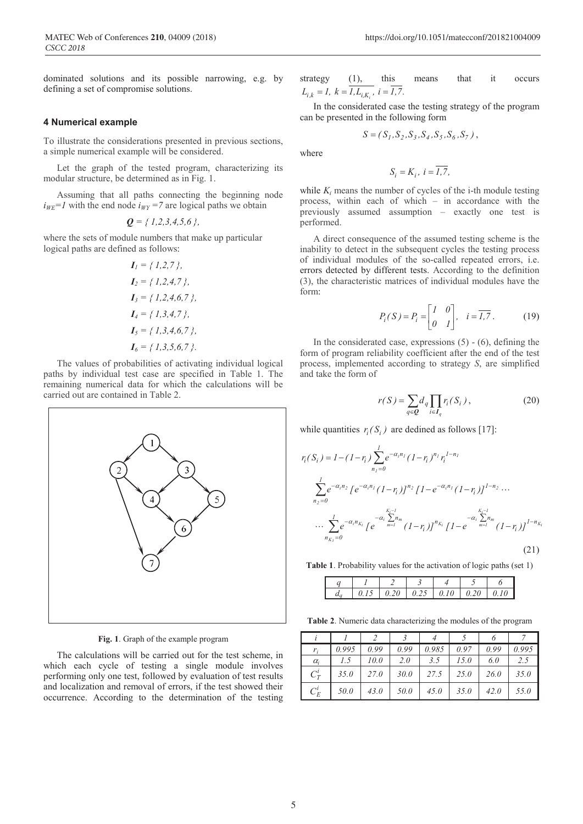dominated solutions and its possible narrowing, e.g. by defining a set of compromise solutions.

#### **4 Numerical example**

To illustrate the considerations presented in previous sections, a simple numerical example will be considered.

Let the graph of the tested program, characterizing its modular structure, be determined as in Fig. 1.

Assuming that all paths connecting the beginning node  $i_{WE}$ =1 with the end node  $i_{WY}$  =7 are logical paths we obtain

$$
\mathbf{Q} = \{1, 2, 3, 4, 5, 6\},\
$$

where the sets of module numbers that make up particular logical paths are defined as follows:

$$
I_1 = \{ 1, 2, 7 \},
$$
  
\n
$$
I_2 = \{ 1, 2, 4, 7 \},
$$
  
\n
$$
I_3 = \{ 1, 2, 4, 6, 7 \},
$$
  
\n
$$
I_4 = \{ 1, 3, 4, 7 \},
$$
  
\n
$$
I_5 = \{ 1, 3, 4, 6, 7 \},
$$
  
\n
$$
I_6 = \{ 1, 3, 5, 6, 7 \}.
$$

The values of probabilities of activating individual logical paths by individual test case are specified in Table 1. The remaining numerical data for which the calculations will be carried out are contained in Table 2.



**Fig. 1**. Graph of the example program

The calculations will be carried out for the test scheme, in which each cycle of testing a single module involves performing only one test, followed by evaluation of test results and localization and removal of errors, if the test showed their occurrence. According to the determination of the testing strategy (1), this means that it occurs  $L_{i,k} = 1, k = \overline{I, L_{i,K_i}}, i = \overline{I,7}.$ 

In the considerated case the testing strategy of the program can be presented in the following form

$$
S = (S_1, S_2, S_3, S_4, S_5, S_6, S_7),
$$

where

$$
S_i=K_i,\ i=\overline{I,7},
$$

while  $K_i$  means the number of cycles of the i-th module testing process, within each of which – in accordance with the previously assumed assumption – exactly one test is performed.

A direct consequence of the assumed testing scheme is the inability to detect in the subsequent cycles the testing process of individual modules of the so-called repeated errors, i.e. errors detected by different tests. According to the definition (3), the characteristic matrices of individual modules have the form:

$$
P_i(S) = P_i = \begin{bmatrix} I & 0 \\ 0 & I \end{bmatrix}, \quad i = \overline{I,7} \,. \tag{19}
$$

In the considerated case, expressions  $(5)$  -  $(6)$ , defining the form of program reliability coefficient after the end of the test process, implemented according to strategy *S*, are simplified and take the form of

$$
r(S) = \sum_{q \in \mathcal{Q}} d_q \prod_{i \in I_q} r_i(S_i), \qquad (20)
$$

while quantities  $r_i(S_i)$  are dedined as follows [17]:

$$
r_i(S_i) = I - (I - r_i) \sum_{n_1=0}^{I} e^{-\alpha_i n_1} (I - r_i)^{n_1} r_i^{1 - n_1}
$$
  

$$
\sum_{n_2=0}^{I} e^{-\alpha_i n_2} [e^{-\alpha_i n_1} (I - r_i)]^{n_2} [I - e^{-\alpha_i n_1} (I - r_i)]^{1 - n_2} \cdots
$$
  

$$
\cdots \sum_{n_{K_i}=0}^{I} e^{-\alpha_i n_{K_i}} [e^{-\alpha_i \sum_{m=1}^{K_i - 1} n_m} (I - r_i)]^{n_{K_i}} [I - e^{-\alpha_i \sum_{m=1}^{K_i - 1} n_m} (I - r_i)]^{1 - n_{K_i}}
$$
  
(21)

**Table 1**. Probability values for the activation of logic paths (set 1)

|  |  |  | 015 020 025 010 020 010 |  |
|--|--|--|-------------------------|--|

**Table 2**. Numeric data characterizing the modules of the program

| $r_i$      | 0.995 | 0.99        | 0.99 | 0.985 | 0.97 | 0.99 | 0.995 |
|------------|-------|-------------|------|-------|------|------|-------|
| $\alpha_i$ | 1.5   | 10.0        | 2.0  | 3.5   | 15.0 | 6.0  | 2.5   |
| $C_T^i$    | 35.0  | <i>27.0</i> | 30.0 | 27.5  | 25.0 | 26.0 | 35.0  |
| $C_E^l$    | 50.0  | 43.0        | 50.0 | 45.0  | 35.0 | 42.0 | 55.0  |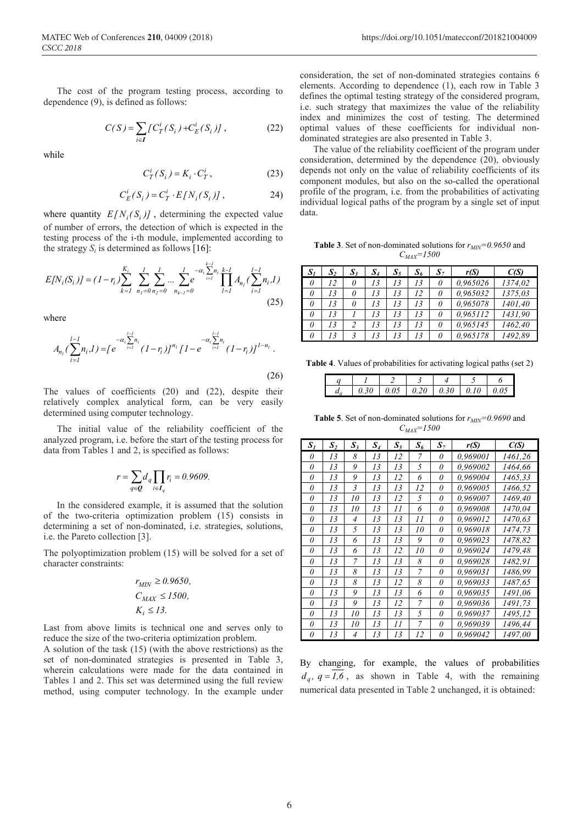The cost of the program testing process, according to dependence (9), is defined as follows:

$$
C(S) = \sum_{i \in I} \{ C_T^i(S_i) + C_E^i(S_i) \},
$$
 (22)

while

$$
C_T^i(S_i) = K_i \cdot C_T^i, \qquad (23)
$$

$$
C_E^i(S_i) = C_T^i \cdot E[N_i(S_i)] \,, \tag{24}
$$

where quantity  $E[N_i(S_i)]$ , determining the expected value of number of errors, the detection of which is expected in the testing process of the i-th module, implemented according to the strategy  $S_i$  is determined as follows [16]:

$$
E[N_i(S_i)] = (1 - r_i) \sum_{k=1}^{K_i} \sum_{n_1=0}^{l} \sum_{n_2=0}^{l} \dots \sum_{n_{k-1}=0}^{l} e^{-\alpha_i \sum_{i=1}^{k-l} n_i} \prod_{l=1}^{k-l} A_{n_l} (\sum_{i=1}^{l-1} n_i, l)
$$
\n(25)

where

$$
A_{n_l}(\sum_{i=1}^{l-l} n_i, I) = \left[e^{-\alpha_i \sum_{i=1}^{l-l} n_i} (1 - r_i)\right]^{n_l} \left[1 - e^{-\alpha_i \sum_{i=1}^{l-1} n_i} (1 - r_i)\right]^{1 - n_l}.
$$
\n(26)

The values of coefficients (20) and (22), despite their relatively complex analytical form, can be very easily determined using computer technology.

The initial value of the reliability coefficient of the analyzed program, i.e. before the start of the testing process for data from Tables 1 and 2, is specified as follows:

$$
r = \sum_{q \in \mathbf{Q}} d_q \prod_{i \in I_q} r_i = 0.9609.
$$

In the considered example, it is assumed that the solution of the two-criteria optimization problem (15) consists in determining a set of non-dominated, i.e. strategies, solutions, i.e. the Pareto collection [3].

The polyoptimization problem (15) will be solved for a set of character constraints:

$$
r_{MIN} \ge 0.9650,
$$
  
\n
$$
C_{MAX} \le 1500,
$$
  
\n
$$
K_i \le 13.
$$

Last from above limits is technical one and serves only to reduce the size of the two-criteria optimization problem.

A solution of the task (15) (with the above restrictions) as the set of non-dominated strategies is presented in Table 3, wherein calculations were made for the data contained in Tables 1 and 2. This set was determined using the full review method, using computer technology. In the example under

consideration, the set of non-dominated strategies contains 6 elements. According to dependence (1), each row in Table 3 defines the optimal testing strategy of the considered program, i.e. such strategy that maximizes the value of the reliability index and minimizes the cost of testing. The determined optimal values of these coefficients for individual nondominated strategies are also presented in Table 3.

The value of the reliability coefficient of the program under consideration, determined by the dependence (20), obviously depends not only on the value of reliability coefficients of its component modules, but also on the so-called the operational profile of the program, i.e. from the probabilities of activating individual logical paths of the program by a single set of input data.

**Table 3**. Set of non-dominated solutions for  $r_{MIN}=0.9650$  and *CMAX=1500*

| $S_I$    | $S_2$ | $\boldsymbol{S}_3$      | $S_4$ | $S_5$ | $S_6$ | $\bm{S}_7$ | r(S)     | C(S)    |
|----------|-------|-------------------------|-------|-------|-------|------------|----------|---------|
| 0        | 12    | 0                       | 13    | 13    | 13    | 0          | 0,965026 | 1374.02 |
| 0        | 13    | 0                       | 13    | 13    | 12    | 0          | 0,965032 | 1375.03 |
| 0        | 13    | 0                       | 13    | 13    | 13    | 0          | 0,965078 | 1401,40 |
| 0        | 13    |                         | 13    | 13    | 13    | 0          | 0.965112 | 1431,90 |
| 0        | 13    |                         | 13    | 13    | 13    | 0          | 0.965145 | 1462,40 |
| $\theta$ | 13    | $\overline{\mathbf{3}}$ | 13    | 13    |       | 0          | 0.965178 | 1492,89 |

**Table 4**. Values of probabilities for activating logical paths (set 2)

|  | 0.05 |  | $0.20 \pm 0.30 \pm 0.30$ | 0.10 |  |
|--|------|--|--------------------------|------|--|

**Table 5**. Set of non-dominated solutions for  $r_{MIN}=0.9690$  and *CMAX=1500*

| $\boldsymbol{S}_t$ | S, | $\boldsymbol{S}_3$      | $\mathcal{S}_4$ | $S_5$ | $S_6$ | $\mathbf{S}_7$ | r(S)     | C(S)    |
|--------------------|----|-------------------------|-----------------|-------|-------|----------------|----------|---------|
| 0                  | 13 | 8                       | 13              | 12    | 7     | 0              | 0,969001 | 1461,26 |
| 0                  | 13 | 9                       | 13              | 13    | 5     | 0              | 0,969002 | 1464,66 |
| 0                  | 13 | 9                       | 13              | 12    | 6     | 0              | 0.969004 | 1465,33 |
| 0                  | 13 | $\overline{\mathbf{3}}$ | 13              | 13    | 12    | 0              | 0,969005 | 1466,52 |
| 0                  | 13 | 10                      | 13              | 12    | 5     | 0              | 0,969007 | 1469,40 |
| 0                  | 13 | 10                      | 13              | 11    | 6     | 0              | 0,969008 | 1470.04 |
| 0                  | 13 | 4                       | 13              | 13    | 11    | 0              | 0,969012 | 1470.63 |
| 0                  | 13 | 5                       | 13              | 13    | 10    | 0              | 0,969018 | 1474,73 |
| 0                  | 13 | 6                       | 13              | 13    | 9     | 0              | 0,969023 | 1478.82 |
| 0                  | 13 | 6                       | 13              | 12    | 10    | 0              | 0.969024 | 1479,48 |
| 0                  | 13 | 7                       | 13              | 13    | 8     | 0              | 0,969028 | 1482,91 |
| 0                  | 13 | 8                       | 13              | 13    | 7     | 0              | 0,969031 | 1486,99 |
| 0                  | 13 | 8                       | 13              | 12    | 8     | 0              | 0,969033 | 1487.65 |
| 0                  | 13 | 9                       | 13              | 13    | 6     | 0              | 0,969035 | 1491,06 |
| 0                  | 13 | 9                       | 13              | 12    | 7     | 0              | 0,969036 | 1491,73 |
| 0                  | 13 | 10                      | 13              | 13    | 5     | 0              | 0,969037 | 1495,12 |
| 0                  | 13 | 10                      | 13              | 11    | 7     | 0              | 0,969039 | 1496,44 |
| 0                  | 13 | $\overline{4}$          | 13              | 13    | 12    | 0              | 0,969042 | 1497,00 |

By changing, for example, the values of probabilities  $d_q$ ,  $q = 1.6$ , as shown in Table 4, with the remaining numerical data presented in Table 2 unchanged, it is obtained: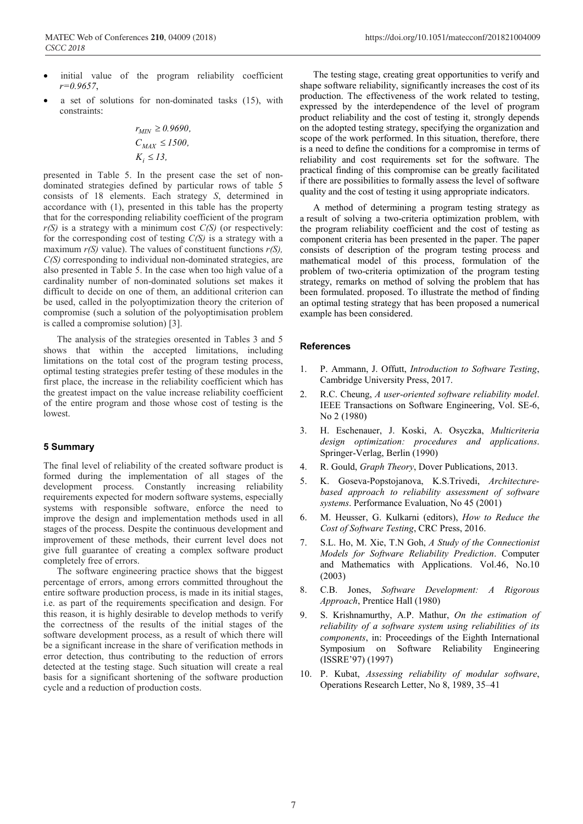- initial value of the program reliability coefficient *r=0.9657*,
- a set of solutions for non-dominated tasks (15), with constraints:

$$
r_{MIN} \ge 0.9690,
$$
  
\n
$$
C_{MAX} \le 1500,
$$
  
\n
$$
K_i \le 13,
$$

presented in Table 5. In the present case the set of nondominated strategies defined by particular rows of table 5 consists of 18 elements. Each strategy *S*, determined in accordance with (1), presented in this table has the property that for the corresponding reliability coefficient of the program *r(S)* is a strategy with a minimum cost *C(S)* (or respectively: for the corresponding cost of testing *C(S)* is a strategy with a maximum  $r(S)$  value). The values of constituent functions  $r(S)$ , *C(S)* corresponding to individual non-dominated strategies, are also presented in Table 5. In the case when too high value of a cardinality number of non-dominated solutions set makes it difficult to decide on one of them, an additional criterion can be used, called in the polyoptimization theory the criterion of compromise (such a solution of the polyoptimisation problem is called a compromise solution) [3].

The analysis of the strategies oresented in Tables 3 and 5 shows that within the accepted limitations, including limitations on the total cost of the program testing process, optimal testing strategies prefer testing of these modules in the first place, the increase in the reliability coefficient which has the greatest impact on the value increase reliability coefficient of the entire program and those whose cost of testing is the lowest.

## **5 Summary**

The final level of reliability of the created software product is formed during the implementation of all stages of the development process. Constantly increasing reliability requirements expected for modern software systems, especially systems with responsible software, enforce the need to improve the design and implementation methods used in all stages of the process. Despite the continuous development and improvement of these methods, their current level does not give full guarantee of creating a complex software product completely free of errors.

The software engineering practice shows that the biggest percentage of errors, among errors committed throughout the entire software production process, is made in its initial stages, i.e. as part of the requirements specification and design. For this reason, it is highly desirable to develop methods to verify the correctness of the results of the initial stages of the software development process, as a result of which there will be a significant increase in the share of verification methods in error detection, thus contributing to the reduction of errors detected at the testing stage. Such situation will create a real basis for a significant shortening of the software production cycle and a reduction of production costs.

The testing stage, creating great opportunities to verify and shape software reliability, significantly increases the cost of its production. The effectiveness of the work related to testing, expressed by the interdependence of the level of program product reliability and the cost of testing it, strongly depends on the adopted testing strategy, specifying the organization and scope of the work performed. In this situation, therefore, there is a need to define the conditions for a compromise in terms of reliability and cost requirements set for the software. The practical finding of this compromise can be greatly facilitated if there are possibilities to formally assess the level of software quality and the cost of testing it using appropriate indicators.

A method of determining a program testing strategy as a result of solving a two-criteria optimization problem, with the program reliability coefficient and the cost of testing as component criteria has been presented in the paper. The paper consists of description of the program testing process and mathematical model of this process, formulation of the problem of two-criteria optimization of the program testing strategy, remarks on method of solving the problem that has been formulated. proposed. To illustrate the method of finding an optimal testing strategy that has been proposed a numerical example has been considered.

# **References**

- 1. P. Ammann, J. Offutt, *Introduction to Software Testing*, Cambridge University Press, 2017.
- 2. R.C. Cheung, *A user-oriented software reliability model*. IEEE Transactions on Software Engineering, Vol. SE-6, No 2 (1980)
- 3. H. Eschenauer, J. Koski, A. Osyczka, *Multicriteria design optimization: procedures and applications*. Springer-Verlag, Berlin (1990)
- 4. R. Gould, *Graph Theory*, Dover Publications, 2013.
- 5. K. Goseva-Popstojanova, K.S.Trivedi, *Architecturebased approach to reliability assessment of software systems*. Performance Evaluation, No 45 (2001)
- 6. M. Heusser, G. Kulkarni (editors), *How to Reduce the Cost of Software Testing*, CRC Press, 2016.
- 7. S.L. Ho, M. Xie, T.N Goh, *A Study of the Connectionist Models for Software Reliability Prediction*. Computer and Mathematics with Applications. Vol.46, No.10 (2003)
- 8. C.B. Jones, *Software Development: A Rigorous Approach*, Prentice Hall (1980)
- 9. S. Krishnamurthy, A.P. Mathur, *On the estimation of reliability of a software system using reliabilities of its components*, in: Proceedings of the Eighth International Symposium on Software Reliability Engineering (ISSRE'97) (1997)
- 10. P. Kubat, *Assessing reliability of modular software*, Operations Research Letter, No 8, 1989, 35–41